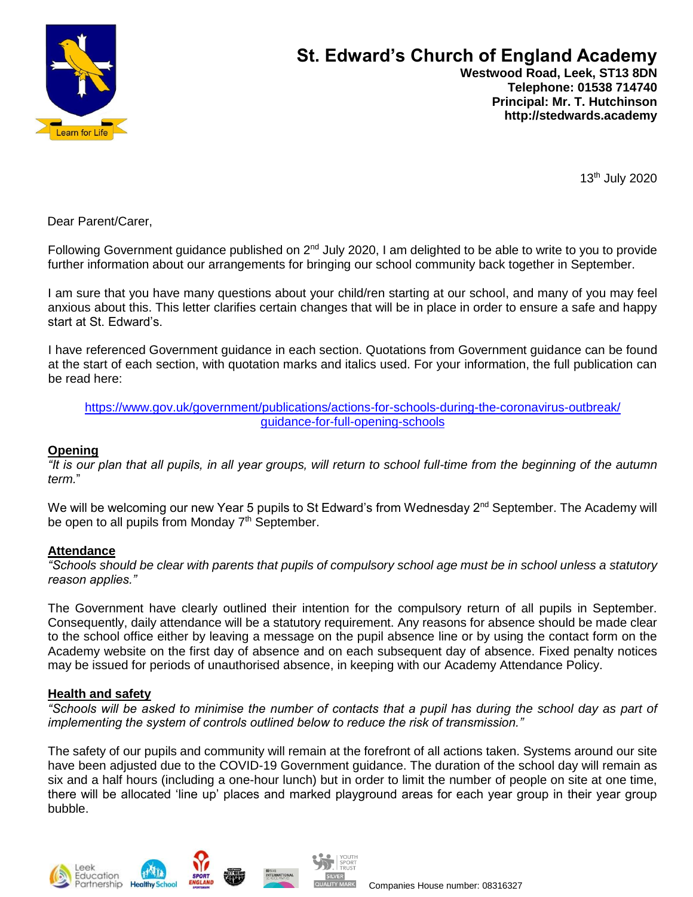

# **St. Edward's Church of England Academy**

 **Westwood Road, Leek, ST13 8DN Telephone: 01538 714740 Principal: Mr. T. Hutchinson http://stedwards.academy**

13th July 2020

Dear Parent/Carer,

Following Government guidance published on 2<sup>nd</sup> July 2020, I am delighted to be able to write to you to provide further information about our arrangements for bringing our school community back together in September.

I am sure that you have many questions about your child/ren starting at our school, and many of you may feel anxious about this. This letter clarifies certain changes that will be in place in order to ensure a safe and happy start at St. Edward's.

I have referenced Government guidance in each section. Quotations from Government guidance can be found at the start of each section, with quotation marks and italics used. For your information, the full publication can be read here:

[https://www.gov.uk/government/publications/actions-for-schools-during-the-coronavirus-outbreak/](https://www.gov.uk/government/publications/actions-for-schools-during-the-coronavirus-outbreak/%20%20%20%20%20%20%20%20guidance-for-full-opening-schools)  [guidance-for-full-opening-schools](https://www.gov.uk/government/publications/actions-for-schools-during-the-coronavirus-outbreak/%20%20%20%20%20%20%20%20guidance-for-full-opening-schools)

#### **Opening**

*"It is our plan that all pupils, in all year groups, will return to school full-time from the beginning of the autumn term.*"

We will be welcoming our new Year 5 pupils to St Edward's from Wednesday  $2<sup>nd</sup>$  September. The Academy will be open to all pupils from Monday  $7<sup>th</sup>$  September.

# **Attendance**

*"Schools should be clear with parents that pupils of compulsory school age must be in school unless a statutory reason applies."* 

The Government have clearly outlined their intention for the compulsory return of all pupils in September. Consequently, daily attendance will be a statutory requirement. Any reasons for absence should be made clear to the school office either by leaving a message on the pupil absence line or by using the contact form on the Academy website on the first day of absence and on each subsequent day of absence. Fixed penalty notices may be issued for periods of unauthorised absence, in keeping with our Academy Attendance Policy.

# **Health and safety**

*"Schools will be asked to minimise the number of contacts that a pupil has during the school day as part of implementing the system of controls outlined below to reduce the risk of transmission."*

The safety of our pupils and community will remain at the forefront of all actions taken. Systems around our site have been adjusted due to the COVID-19 Government guidance. The duration of the school day will remain as six and a half hours (including a one-hour lunch) but in order to limit the number of people on site at one time, there will be allocated 'line up' places and marked playground areas for each year group in their year group bubble.

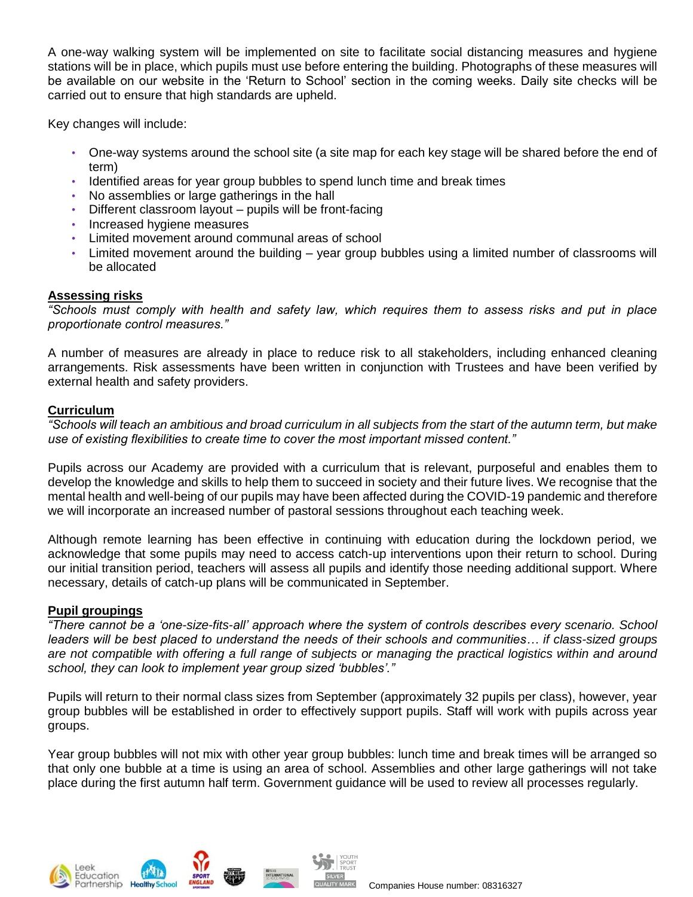A one-way walking system will be implemented on site to facilitate social distancing measures and hygiene stations will be in place, which pupils must use before entering the building. Photographs of these measures will be available on our website in the 'Return to School' section in the coming weeks. Daily site checks will be carried out to ensure that high standards are upheld.

Key changes will include:

- One-way systems around the school site (a site map for each key stage will be shared before the end of term)
- Identified areas for year group bubbles to spend lunch time and break times
- No assemblies or large gatherings in the hall
- Different classroom layout pupils will be front-facing
- Increased hygiene measures
- Limited movement around communal areas of school
- Limited movement around the building year group bubbles using a limited number of classrooms will be allocated

# **Assessing risks**

*"Schools must comply with health and safety law, which requires them to assess risks and put in place proportionate control measures."* 

A number of measures are already in place to reduce risk to all stakeholders, including enhanced cleaning arrangements. Risk assessments have been written in conjunction with Trustees and have been verified by external health and safety providers.

# **Curriculum**

*"Schools will teach an ambitious and broad curriculum in all subjects from the start of the autumn term, but make use of existing flexibilities to create time to cover the most important missed content."*

Pupils across our Academy are provided with a curriculum that is relevant, purposeful and enables them to develop the knowledge and skills to help them to succeed in society and their future lives. We recognise that the mental health and well-being of our pupils may have been affected during the COVID-19 pandemic and therefore we will incorporate an increased number of pastoral sessions throughout each teaching week.

Although remote learning has been effective in continuing with education during the lockdown period, we acknowledge that some pupils may need to access catch-up interventions upon their return to school. During our initial transition period, teachers will assess all pupils and identify those needing additional support. Where necessary, details of catch-up plans will be communicated in September.

# **Pupil groupings**

*"There cannot be a 'one-size-fits-all' approach where the system of controls describes every scenario. School leaders will be best placed to understand the needs of their schools and communities… if class-sized groups are not compatible with offering a full range of subjects or managing the practical logistics within and around school, they can look to implement year group sized 'bubbles'."*

Pupils will return to their normal class sizes from September (approximately 32 pupils per class), however, year group bubbles will be established in order to effectively support pupils. Staff will work with pupils across year groups.

Year group bubbles will not mix with other year group bubbles: lunch time and break times will be arranged so that only one bubble at a time is using an area of school. Assemblies and other large gatherings will not take place during the first autumn half term. Government guidance will be used to review all processes regularly.



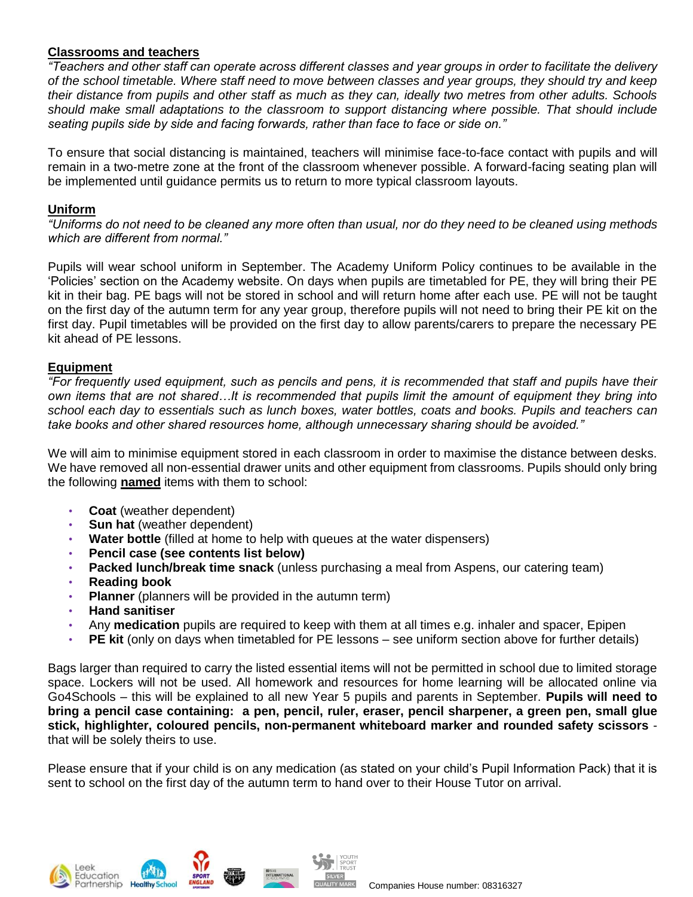# **Classrooms and teachers**

*"Teachers and other staff can operate across different classes and year groups in order to facilitate the delivery of the school timetable. Where staff need to move between classes and year groups, they should try and keep their distance from pupils and other staff as much as they can, ideally two metres from other adults. Schools should make small adaptations to the classroom to support distancing where possible. That should include seating pupils side by side and facing forwards, rather than face to face or side on."*

To ensure that social distancing is maintained, teachers will minimise face-to-face contact with pupils and will remain in a two-metre zone at the front of the classroom whenever possible. A forward-facing seating plan will be implemented until guidance permits us to return to more typical classroom layouts.

#### **Uniform**

*"Uniforms do not need to be cleaned any more often than usual, nor do they need to be cleaned using methods which are different from normal."*

Pupils will wear school uniform in September. The Academy Uniform Policy continues to be available in the 'Policies' section on the Academy website. On days when pupils are timetabled for PE, they will bring their PE kit in their bag. PE bags will not be stored in school and will return home after each use. PE will not be taught on the first day of the autumn term for any year group, therefore pupils will not need to bring their PE kit on the first day. Pupil timetables will be provided on the first day to allow parents/carers to prepare the necessary PE kit ahead of PE lessons.

#### **Equipment**

*"For frequently used equipment, such as pencils and pens, it is recommended that staff and pupils have their own items that are not shared…It is recommended that pupils limit the amount of equipment they bring into school each day to essentials such as lunch boxes, water bottles, coats and books. Pupils and teachers can take books and other shared resources home, although unnecessary sharing should be avoided."*

We will aim to minimise equipment stored in each classroom in order to maximise the distance between desks. We have removed all non-essential drawer units and other equipment from classrooms. Pupils should only bring the following **named** items with them to school:

- **Coat** (weather dependent)
- **Sun hat** (weather dependent)
- **Water bottle** (filled at home to help with queues at the water dispensers)
- **Pencil case (see contents list below)**
- **Packed lunch/break time snack** (unless purchasing a meal from Aspens, our catering team)
- **Reading book**
- **Planner** (planners will be provided in the autumn term)
- **Hand sanitiser**
- Any **medication** pupils are required to keep with them at all times e.g. inhaler and spacer, Epipen
- **PE kit** (only on days when timetabled for PE lessons see uniform section above for further details)

Bags larger than required to carry the listed essential items will not be permitted in school due to limited storage space. Lockers will not be used. All homework and resources for home learning will be allocated online via Go4Schools – this will be explained to all new Year 5 pupils and parents in September. **Pupils will need to bring a pencil case containing: a pen, pencil, ruler, eraser, pencil sharpener, a green pen, small glue stick, highlighter, coloured pencils, non-permanent whiteboard marker and rounded safety scissors**  that will be solely theirs to use.

Please ensure that if your child is on any medication (as stated on your child's Pupil Information Pack) that it is sent to school on the first day of the autumn term to hand over to their House Tutor on arrival.







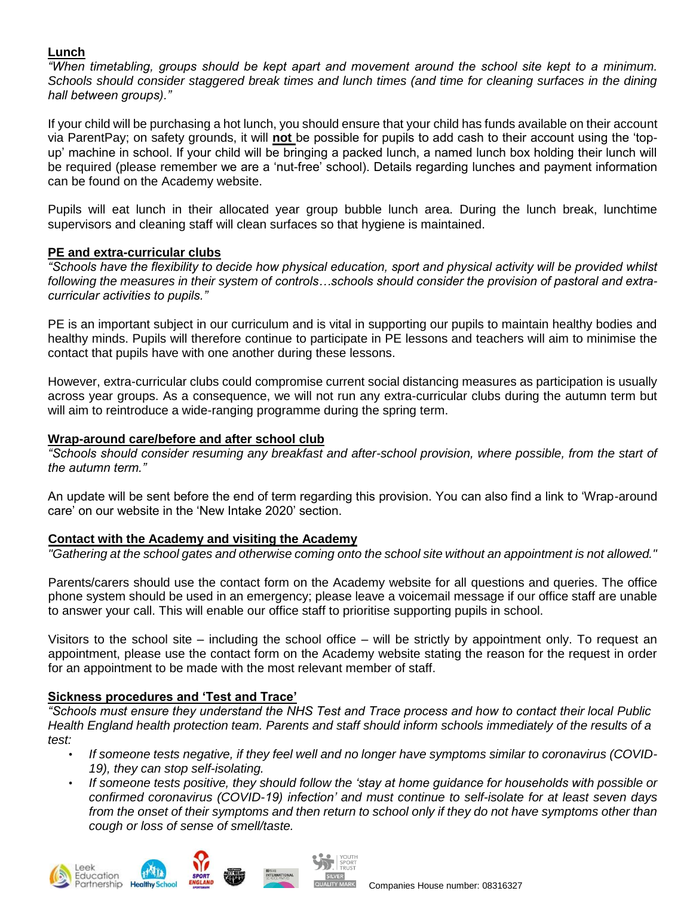# **Lunch**

*"When timetabling, groups should be kept apart and movement around the school site kept to a minimum. Schools should consider staggered break times and lunch times (and time for cleaning surfaces in the dining hall between groups)."*

If your child will be purchasing a hot lunch, you should ensure that your child has funds available on their account via ParentPay; on safety grounds, it will **not** be possible for pupils to add cash to their account using the 'topup' machine in school. If your child will be bringing a packed lunch, a named lunch box holding their lunch will be required (please remember we are a 'nut-free' school). Details regarding lunches and payment information can be found on the Academy website.

Pupils will eat lunch in their allocated year group bubble lunch area. During the lunch break, lunchtime supervisors and cleaning staff will clean surfaces so that hygiene is maintained.

# **PE and extra-curricular clubs**

*"Schools have the flexibility to decide how physical education, sport and physical activity will be provided whilst following the measures in their system of controls…schools should consider the provision of pastoral and extracurricular activities to pupils."*

PE is an important subject in our curriculum and is vital in supporting our pupils to maintain healthy bodies and healthy minds. Pupils will therefore continue to participate in PE lessons and teachers will aim to minimise the contact that pupils have with one another during these lessons.

However, extra-curricular clubs could compromise current social distancing measures as participation is usually across year groups. As a consequence, we will not run any extra-curricular clubs during the autumn term but will aim to reintroduce a wide-ranging programme during the spring term.

# **Wrap-around care/before and after school club**

*"Schools should consider resuming any breakfast and after-school provision, where possible, from the start of the autumn term."*

An update will be sent before the end of term regarding this provision. You can also find a link to 'Wrap-around care' on our website in the 'New Intake 2020' section.

# **Contact with the Academy and visiting the Academy**

*"Gathering at the school gates and otherwise coming onto the school site without an appointment is not allowed."*

Parents/carers should use the contact form on the Academy website for all questions and queries. The office phone system should be used in an emergency; please leave a voicemail message if our office staff are unable to answer your call. This will enable our office staff to prioritise supporting pupils in school.

Visitors to the school site – including the school office – will be strictly by appointment only. To request an appointment, please use the contact form on the Academy website stating the reason for the request in order for an appointment to be made with the most relevant member of staff.

# **Sickness procedures and 'Test and Trace'**

*"Schools must ensure they understand the NHS Test and Trace process and how to contact their local [Public](https://www.gov.uk/guidance/contacts-phe-health-protection-teams)  [Health England health protection team.](https://www.gov.uk/guidance/contacts-phe-health-protection-teams) Parents and staff should inform schools immediately of the results of a test:*

- *If someone tests negative, if they feel well and no longer have symptoms similar to coronavirus (COVID-19), they can stop self-isolating.*
- *If someone tests positive, they should follow th[e](https://www.gov.uk/government/publications/covid-19-stay-at-home-guidance) ['stay at home guidance for households with](https://www.gov.uk/government/publications/covid-19-stay-at-home-guidance) [possible or](https://www.gov.uk/government/publications/covid-19-stay-at-home-guidance)  [confirmed coronavirus \(COVID-19\) infection'](https://www.gov.uk/government/publications/covid-19-stay-at-home-guidance) [a](https://www.gov.uk/government/publications/covid-19-stay-at-home-guidance)nd must continue to self-isolate for at least seven days from the onset of their symptoms and then return to school only if they do not have symptoms other than cough or loss of sense of smell/taste.*

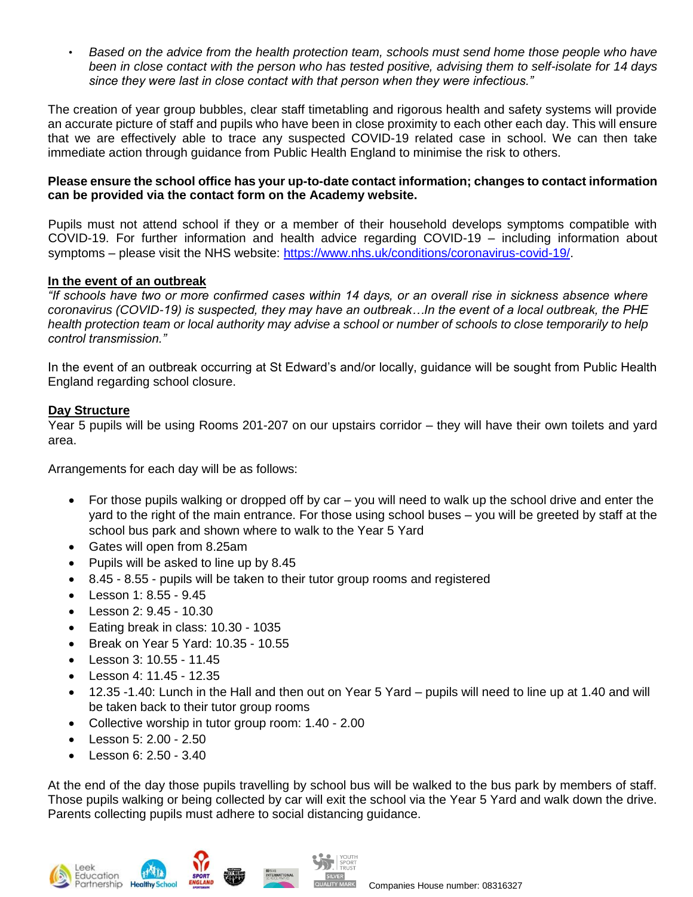• *Based on the advice from the health protection team, schools must send home those people who have been in close contact with the person who has tested positive, advising them to self-isolate for 14 days since they were last in close contact with that person when they were infectious."* 

The creation of year group bubbles, clear staff timetabling and rigorous health and safety systems will provide an accurate picture of staff and pupils who have been in close proximity to each other each day. This will ensure that we are effectively able to trace any suspected COVID-19 related case in school. We can then take immediate action through guidance from Public Health England to minimise the risk to others.

#### **Please ensure the school office has your up-to-date contact information; changes to contact information can be provided via the contact form on the Academy website.**

Pupils must not attend school if they or a member of their household develops symptoms compatible with COVID-19. For further information and health advice regarding COVID-19 – including information about symptoms – please visit the NHS website: [https://www.nhs.uk/conditions/coronavirus-covid-19/.](https://www.nhs.uk/conditions/coronavirus-covid-19/)

# **In the event of an outbreak**

*"If schools have two or more confirmed cases within 14 days, or an overall rise in sickness absence where coronavirus (COVID-19) is suspected, they may have an outbreak…In the event of a local outbreak, the PHE health protection team or local authority may advise a school or number of schools to close temporarily to help control transmission."* 

In the event of an outbreak occurring at St Edward's and/or locally, guidance will be sought from Public Health England regarding school closure.

#### **Day Structure**

Year 5 pupils will be using Rooms 201-207 on our upstairs corridor – they will have their own toilets and yard area.

Arrangements for each day will be as follows:

- For those pupils walking or dropped off by car you will need to walk up the school drive and enter the yard to the right of the main entrance. For those using school buses – you will be greeted by staff at the school bus park and shown where to walk to the Year 5 Yard
- Gates will open from 8.25am
- Pupils will be asked to line up by 8.45
- 8.45 8.55 pupils will be taken to their tutor group rooms and registered
- Lesson 1: 8.55 9.45
- Lesson 2: 9.45 10.30
- Eating break in class: 10.30 1035
- Break on Year 5 Yard: 10.35 10.55
- Lesson 3: 10.55 11.45
- Lesson 4: 11.45 12.35
- 12.35 -1.40: Lunch in the Hall and then out on Year 5 Yard pupils will need to line up at 1.40 and will be taken back to their tutor group rooms
- Collective worship in tutor group room: 1.40 2.00
- $\cdot$  Lesson 5: 2.00 2.50
- **Lesson 6: 2.50 3.40**

At the end of the day those pupils travelling by school bus will be walked to the bus park by members of staff. Those pupils walking or being collected by car will exit the school via the Year 5 Yard and walk down the drive. Parents collecting pupils must adhere to social distancing guidance.